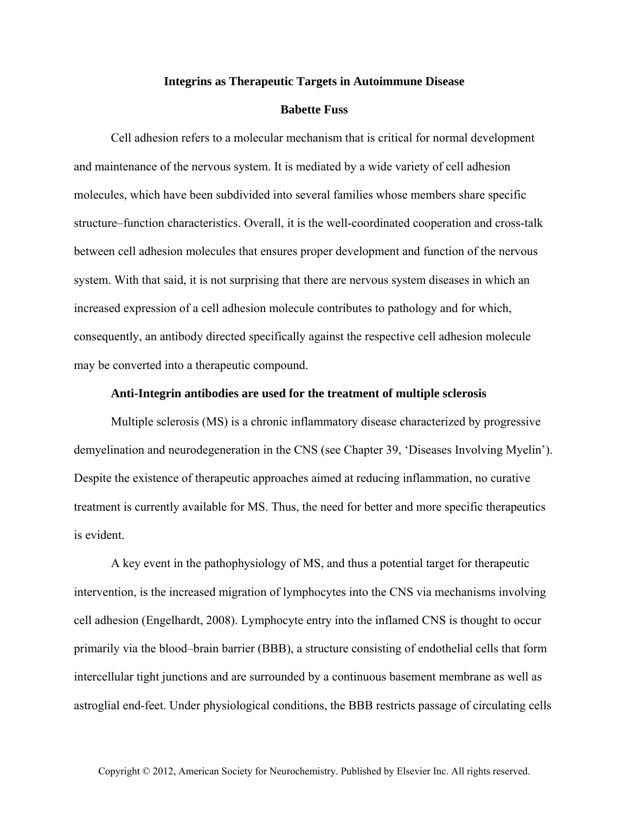## **Integrins as Therapeutic Targets in Autoimmune Disease**

## **Babette Fuss**

Cell adhesion refers to a molecular mechanism that is critical for normal development and maintenance of the nervous system. It is mediated by a wide variety of cell adhesion molecules, which have been subdivided into several families whose members share specific structure–function characteristics. Overall, it is the well-coordinated cooperation and cross-talk between cell adhesion molecules that ensures proper development and function of the nervous system. With that said, it is not surprising that there are nervous system diseases in which an increased expression of a cell adhesion molecule contributes to pathology and for which, consequently, an antibody directed specifically against the respective cell adhesion molecule may be converted into a therapeutic compound.

## **Anti-Integrin antibodies are used for the treatment of multiple sclerosis**

Multiple sclerosis (MS) is a chronic inflammatory disease characterized by progressive demyelination and neurodegeneration in the CNS (see Chapter 39, 'Diseases Involving Myelin'). Despite the existence of therapeutic approaches aimed at reducing inflammation, no curative treatment is currently available for MS. Thus, the need for better and more specific therapeutics is evident.

A key event in the pathophysiology of MS, and thus a potential target for therapeutic intervention, is the increased migration of lymphocytes into the CNS via mechanisms involving cell adhesion (Engelhardt, 2008). Lymphocyte entry into the inflamed CNS is thought to occur primarily via the blood–brain barrier (BBB), a structure consisting of endothelial cells that form intercellular tight junctions and are surrounded by a continuous basement membrane as well as astroglial end-feet. Under physiological conditions, the BBB restricts passage of circulating cells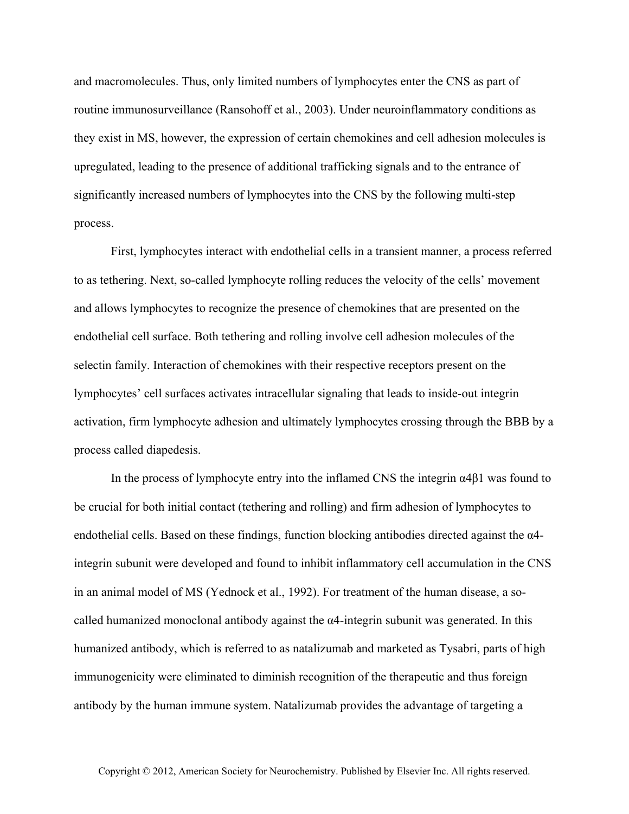and macromolecules. Thus, only limited numbers of lymphocytes enter the CNS as part of routine immunosurveillance (Ransohoff et al., 2003). Under neuroinflammatory conditions as they exist in MS, however, the expression of certain chemokines and cell adhesion molecules is upregulated, leading to the presence of additional trafficking signals and to the entrance of significantly increased numbers of lymphocytes into the CNS by the following multi-step process.

First, lymphocytes interact with endothelial cells in a transient manner, a process referred to as tethering. Next, so-called lymphocyte rolling reduces the velocity of the cells' movement and allows lymphocytes to recognize the presence of chemokines that are presented on the endothelial cell surface. Both tethering and rolling involve cell adhesion molecules of the selectin family. Interaction of chemokines with their respective receptors present on the lymphocytes' cell surfaces activates intracellular signaling that leads to inside-out integrin activation, firm lymphocyte adhesion and ultimately lymphocytes crossing through the BBB by a process called diapedesis.

In the process of lymphocyte entry into the inflamed CNS the integrin  $\alpha$ 4 $\beta$ 1 was found to be crucial for both initial contact (tethering and rolling) and firm adhesion of lymphocytes to endothelial cells. Based on these findings, function blocking antibodies directed against the  $\alpha$ 4integrin subunit were developed and found to inhibit inflammatory cell accumulation in the CNS in an animal model of MS (Yednock et al., 1992). For treatment of the human disease, a socalled humanized monoclonal antibody against the α4-integrin subunit was generated. In this humanized antibody, which is referred to as natalizumab and marketed as Tysabri, parts of high immunogenicity were eliminated to diminish recognition of the therapeutic and thus foreign antibody by the human immune system. Natalizumab provides the advantage of targeting a